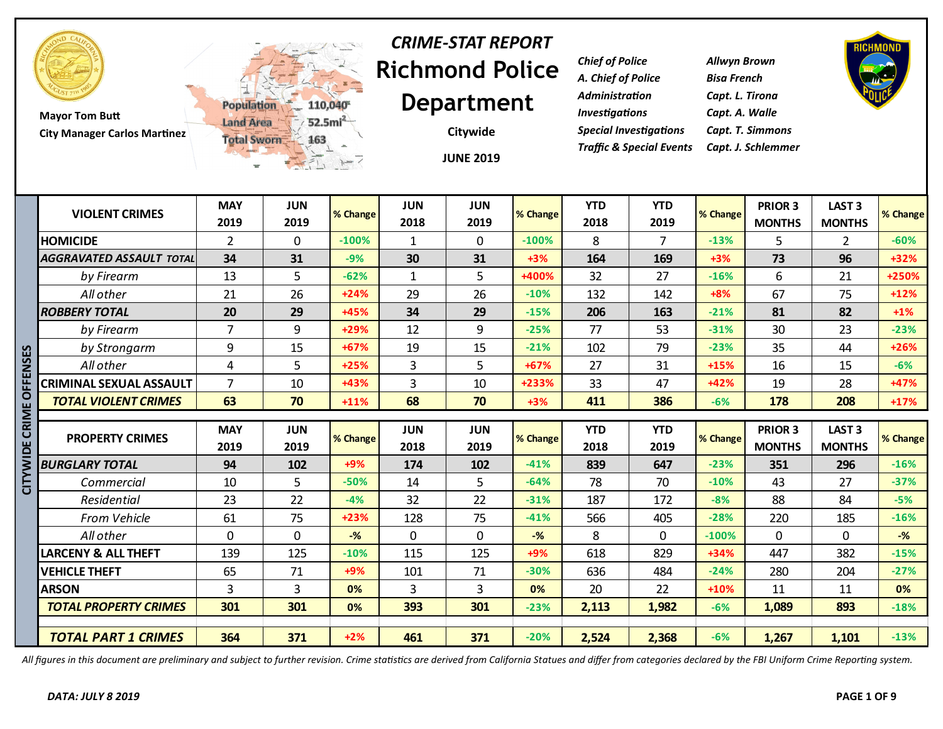

**Mayor Tom Butt City Manager Carlos Martinez**



## **Richmond Police Department** *CRIME-STAT REPORT*

**JUNE 2019 Citywide**

*Chief of Police Allwyn Brown A. Chief of Police Bisa French Administration Capt. L. Tirona Investigations Capt. A. Walle Special Investigations Capt. T. Simmons Traffic & Special Events Capt. J. Schlemmer*



|        | <b>VIOLENT CRIMES</b>           | <b>MAY</b><br>2019 | <b>JUN</b><br>2019 | % Change | <b>JUN</b><br>2018 | <b>JUN</b><br>2019 | % Change | <b>YTD</b><br>2018 | <b>YTD</b><br>2019 | % Change | <b>PRIOR 3</b> | LAST <sub>3</sub> | % Change |
|--------|---------------------------------|--------------------|--------------------|----------|--------------------|--------------------|----------|--------------------|--------------------|----------|----------------|-------------------|----------|
|        |                                 |                    |                    |          |                    |                    |          |                    |                    |          | <b>MONTHS</b>  | <b>MONTHS</b>     |          |
|        | <b>HOMICIDE</b>                 | $\overline{2}$     | $\mathbf{0}$       | $-100%$  | $\mathbf{1}$       | $\mathbf{0}$       | $-100%$  | 8                  | 7                  | $-13%$   | 5              | 2                 | $-60%$   |
|        | <b>AGGRAVATED ASSAULT TOTAL</b> | 34                 | 31                 | $-9%$    | 30                 | 31                 | $+3%$    | 164                | 169                | $+3%$    | 73             | 96                | $+32%$   |
|        | by Firearm                      | 13                 | 5                  | $-62%$   | $\mathbf{1}$       | 5                  | +400%    | 32                 | 27                 | $-16%$   | 6              | 21                | +250%    |
|        | All other                       | 21                 | 26                 | $+24%$   | 29                 | 26                 | $-10%$   | 132                | 142                | $+8%$    | 67             | 75                | $+12%$   |
|        | <b>ROBBERY TOTAL</b>            | 20                 | 29                 | +45%     | 34                 | 29                 | $-15%$   | 206                | 163                | $-21%$   | 81             | 82                | $+1\%$   |
|        | by Firearm                      | $\overline{7}$     | 9                  | +29%     | 12                 | 9                  | $-25%$   | 77                 | 53                 | $-31%$   | 30             | 23                | $-23%$   |
|        | by Strongarm                    | 9                  | 15                 | $+67%$   | 19                 | 15                 | $-21%$   | 102                | 79                 | $-23%$   | 35             | 44                | $+26%$   |
| ENSES  | All other                       | $\overline{4}$     | 5                  | $+25%$   | 3                  | 5                  | $+67%$   | 27                 | 31                 | $+15%$   | 16             | 15                | $-6%$    |
|        | <b>CRIMINAL SEXUAL ASSAULT</b>  | $\overline{7}$     | 10                 | +43%     | 3                  | 10                 | +233%    | 33                 | 47                 | $+42%$   | 19             | 28                | $+47%$   |
| ō      | <b>TOTAL VIOLENT CRIMES</b>     | 63                 | 70                 | $+11%$   | 68                 | 70                 | $+3%$    | 411                | 386                | $-6%$    | 178            | 208               | $+17%$   |
| CRIME  |                                 |                    |                    |          |                    |                    |          |                    |                    |          |                |                   |          |
|        |                                 |                    |                    |          |                    |                    |          |                    |                    |          |                |                   |          |
|        |                                 | <b>MAY</b>         | <b>JUN</b>         |          | <b>JUN</b>         | <b>JUN</b>         |          | <b>YTD</b>         | <b>YTD</b>         |          | <b>PRIOR 3</b> | LAST <sub>3</sub> |          |
|        | <b>PROPERTY CRIMES</b>          | 2019               | 2019               | % Change | 2018               | 2019               | % Change | 2018               | 2019               | % Change | <b>MONTHS</b>  | <b>MONTHS</b>     | % Change |
| ă      | <b>BURGLARY TOTAL</b>           | 94                 | 102                | $+9%$    | 174                | 102                | $-41%$   | 839                | 647                | $-23%$   | 351            | 296               | $-16%$   |
|        | Commercial                      | 10                 | 5                  | $-50%$   | 14                 | 5                  | $-64%$   | 78                 | 70                 | $-10%$   | 43             | 27                | $-37%$   |
| ≧<br>U | Residential                     | 23                 | 22                 | $-4%$    | 32                 | 22                 | $-31%$   | 187                | 172                | $-8%$    | 88             | 84                | $-5%$    |
|        | From Vehicle                    | 61                 | 75                 | $+23%$   | 128                | 75                 | $-41%$   | 566                | 405                | $-28%$   | 220            | 185               | $-16%$   |
|        | All other                       | $\Omega$           | $\mathbf{0}$       | $-%$     | $\mathbf{0}$       | $\mathbf{0}$       | $-$ %    | 8                  | $\Omega$           | $-100%$  | $\Omega$       | 0                 | $-$ %    |
|        | LARCENY & ALL THEFT             | 139                | 125                | $-10%$   | 115                | 125                | $+9%$    | 618                | 829                | $+34%$   | 447            | 382               | $-15%$   |
|        | <b>VEHICLE THEFT</b>            | 65                 | 71                 | $+9%$    | 101                | 71                 | $-30%$   | 636                | 484                | $-24%$   | 280            | 204               | $-27%$   |
|        | <b>ARSON</b>                    | 3                  | 3                  | 0%       | 3                  | 3                  | 0%       | 20                 | 22                 | $+10%$   | 11             | 11                | 0%       |
|        | <b>TOTAL PROPERTY CRIMES</b>    | 301                | 301                | 0%       | 393                | 301                | $-23%$   | 2,113              | 1,982              | $-6%$    | 1,089          | 893               | $-18%$   |
|        |                                 |                    |                    |          |                    |                    |          |                    |                    |          |                |                   |          |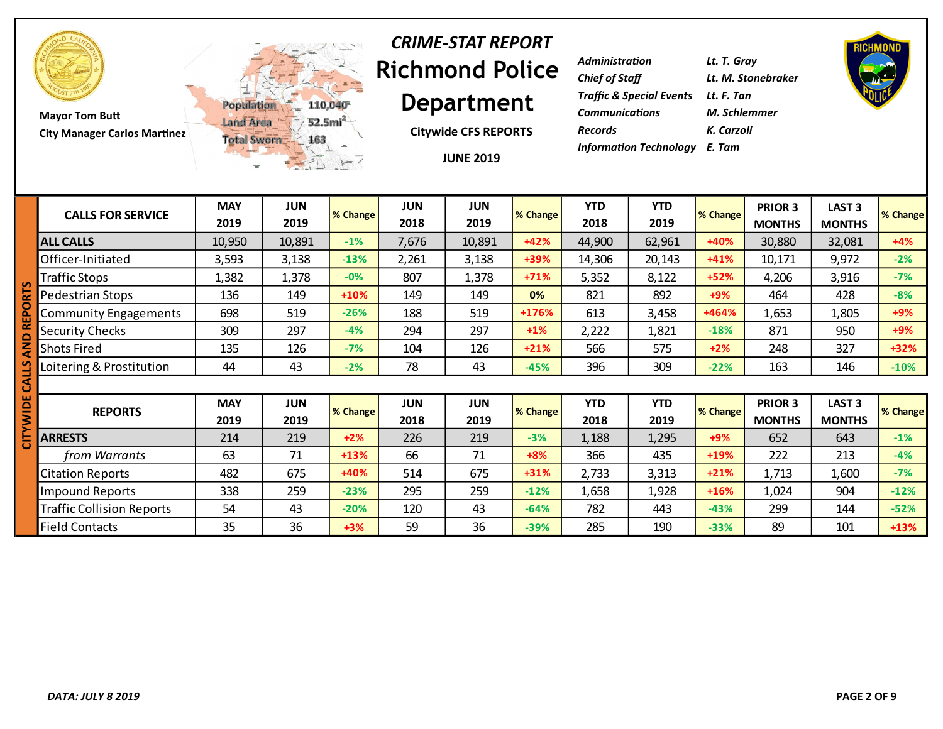

**Mayor Tom Butt City Manager Carlos Martinez**



#### **Richmond Police Department** *CRIME-STAT REPORT*

**Citywide CFS REPORTS**

**JUNE 2019**

| <b>Administration</b>                          | Lt. T. Gray        |
|------------------------------------------------|--------------------|
| <b>Chief of Staff</b>                          | Lt. M. Stonebraker |
| <b>Traffic &amp; Special Events Lt. F. Tan</b> |                    |
| <b>Communications</b>                          | M. Schlemmer       |
| <b>Records</b>                                 | K. Carzoli         |
| <b>Information Technology</b> E. Tam           |                    |

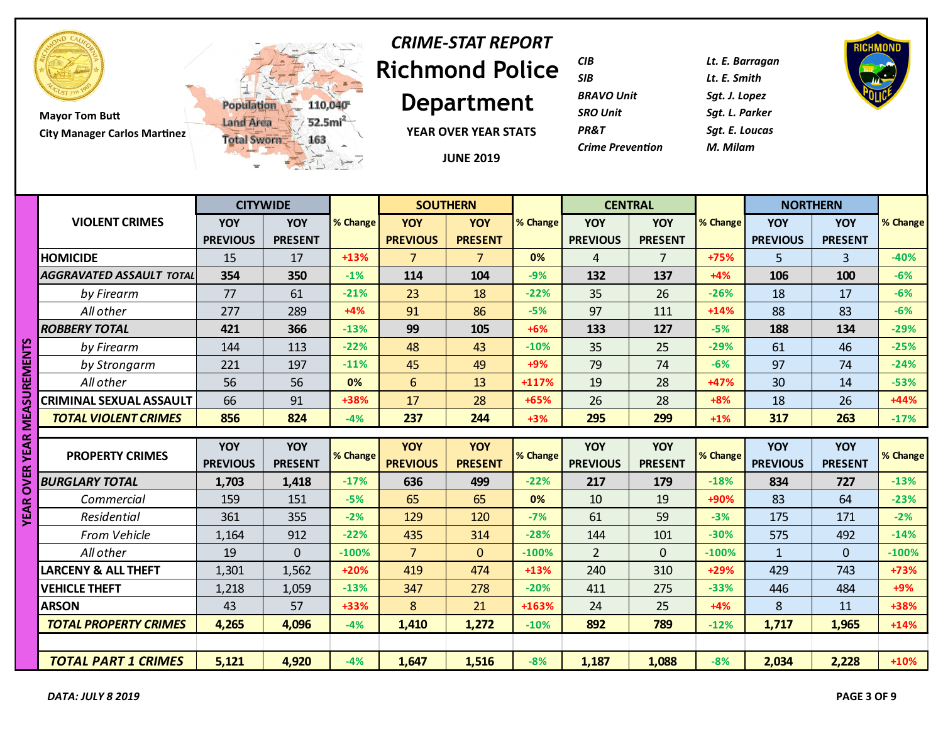

# **Richmond Police**  *CRIME-STAT REPORT*

**Department**

**YEAR OVER YEAR STATS**

**JUNE 2019**

| <b>CIB</b>              | Lt. E. Barr |
|-------------------------|-------------|
| SIB                     | Lt. E. Smit |
| <b>BRAVO Unit</b>       | Sqt. J. Lop |
| <b>SRO Unit</b>         | Sat. L. Pai |
| PR&T                    | Sat. E. Lou |
| <b>Crime Prevention</b> | M. Milam    |
|                         |             |

*CIB Lt. E. Barragan SIB Lt. E. Smith BRAVO Unit Sgt. J. Lopez* **Parker** *PR&T Sgt. E. Loucas*



|                                       |                        | <b>CITYWIDE</b>              |          |                               | <b>SOUTHERN</b>              |          | <b>CENTRAL</b>                |                       |          | <b>NORTHERN</b>               |                              |          |
|---------------------------------------|------------------------|------------------------------|----------|-------------------------------|------------------------------|----------|-------------------------------|-----------------------|----------|-------------------------------|------------------------------|----------|
| <b>VIOLENT CRIMES</b>                 | YOY<br><b>PREVIOUS</b> | <b>YOY</b><br><b>PRESENT</b> | % Change | <b>YOY</b><br><b>PREVIOUS</b> | <b>YOY</b><br><b>PRESENT</b> | % Change | <b>YOY</b><br><b>PREVIOUS</b> | YOY<br><b>PRESENT</b> | % Change | YOY<br><b>PREVIOUS</b>        | <b>YOY</b><br><b>PRESENT</b> | % Change |
| <b>HOMICIDE</b>                       | 15                     | 17                           | $+13%$   | $\overline{7}$                | 7                            | 0%       | $\overline{4}$                | $\overline{7}$        | +75%     | 5                             | $\overline{3}$               | $-40%$   |
| <b>AGGRAVATED ASSAULT TOTAL</b>       | 354                    | 350                          | $-1%$    | 114                           | 104                          | $-9%$    | 132                           | 137                   | $+4%$    | 106                           | 100                          | $-6%$    |
| by Firearm                            | 77                     | 61                           | $-21%$   | 23                            | 18                           | $-22%$   | 35                            | 26                    | $-26%$   | 18                            | 17                           | $-6%$    |
| All other                             | 277                    | 289                          | $+4%$    | 91                            | 86                           | $-5%$    | 97                            | 111                   | $+14%$   | 88                            | 83                           | $-6%$    |
| <b>ROBBERY TOTAL</b>                  | 421                    | 366                          | $-13%$   | 99                            | 105                          | $+6%$    | 133                           | 127                   | $-5%$    | 188                           | 134                          | $-29%$   |
| n<br>by Firearm                       | 144                    | 113                          | $-22%$   | 48                            | 43                           | $-10%$   | 35                            | 25                    | $-29%$   | 61                            | 46                           | $-25%$   |
| by Strongarm<br>⋚                     | 221                    | 197                          | $-11%$   | 45                            | 49                           | $+9%$    | 79                            | 74                    | $-6%$    | 97                            | 74                           | $-24%$   |
| All other                             | 56                     | 56                           | 0%       | $6\phantom{1}$                | 13                           | +117%    | 19                            | 28                    | +47%     | 30                            | 14                           | $-53%$   |
| <b>CRIMINAL SEXUAL ASSAULT</b>        | 66                     | 91                           | +38%     | 17                            | 28                           | +65%     | 26                            | 28                    | $+8%$    | 18                            | 26                           | $+44%$   |
| 5<br><b>TOTAL VIOLENT CRIMES</b>      | 856                    | 824                          | $-4%$    | 237                           | 244                          | $+3%$    | 295                           | 299                   | $+1%$    | 317                           | 263                          | $-17%$   |
| œ                                     |                        |                              |          |                               |                              |          |                               |                       |          |                               |                              |          |
| <b>NEX</b><br><b>PROPERTY CRIMES</b>  | YOY<br><b>PREVIOUS</b> | <b>YOY</b><br><b>PRESENT</b> | % Change | <b>YOY</b><br><b>PREVIOUS</b> | YOY<br><b>PRESENT</b>        | % Change | <b>YOY</b><br><b>PREVIOUS</b> | YOY<br><b>PRESENT</b> | % Change | <b>YOY</b><br><b>PREVIOUS</b> | <b>YOY</b><br><b>PRESENT</b> | % Change |
| $\mathbb{R}$<br><b>BURGLARY TOTAL</b> | 1,703                  | 1,418                        | $-17%$   | 636                           | 499                          | $-22%$   | 217                           | 179                   | $-18%$   | 834                           | 727                          | $-13%$   |
| 0<br>Commercial<br>œ                  | 159                    | 151                          | $-5%$    | 65                            | 65                           | 0%       | 10                            | 19                    | +90%     | 83                            | 64                           | $-23%$   |
| ₹<br>Residential                      | 361                    | 355                          | $-2%$    | 129                           | 120                          | $-7%$    | 61                            | 59                    | $-3%$    | 175                           | 171                          | $-2%$    |
| From Vehicle                          | 1,164                  | 912                          | $-22%$   | 435                           | 314                          | $-28%$   | 144                           | 101                   | $-30%$   | 575                           | 492                          | $-14%$   |
| All other                             | 19                     | $\Omega$                     | $-100%$  | $\overline{7}$                | $\overline{0}$               | $-100%$  | $\overline{2}$                | $\overline{0}$        | $-100%$  | $\mathbf{1}$                  | $\overline{0}$               | $-100%$  |
| <b>LARCENY &amp; ALL THEFT</b>        | 1,301                  | 1,562                        | $+20%$   | 419                           | 474                          | $+13%$   | 240                           | 310                   | +29%     | 429                           | 743                          | +73%     |
| <b>VEHICLE THEFT</b>                  | 1,218                  | 1,059                        | $-13%$   | 347                           | 278                          | $-20%$   | 411                           | 275                   | $-33%$   | 446                           | 484                          | +9%      |
| <b>ARSON</b>                          | 43                     | 57                           | +33%     | 8                             | 21                           | +163%    | 24                            | 25                    | $+4%$    | 8                             | 11                           | +38%     |
| <b>TOTAL PROPERTY CRIMES</b>          | 4,265                  | 4,096                        | $-4%$    | 1,410                         | 1,272                        | $-10%$   | 892                           | 789                   | $-12%$   | 1,717                         | 1,965                        | $+14%$   |
|                                       |                        |                              |          |                               |                              |          |                               |                       |          |                               |                              |          |
| <b>TOTAL PART 1 CRIMES</b>            | 5,121                  | 4,920                        | $-4%$    | 1,647                         | 1,516                        | $-8%$    | 1,187                         | 1,088                 | $-8%$    | 2,034                         | 2,228                        | $+10%$   |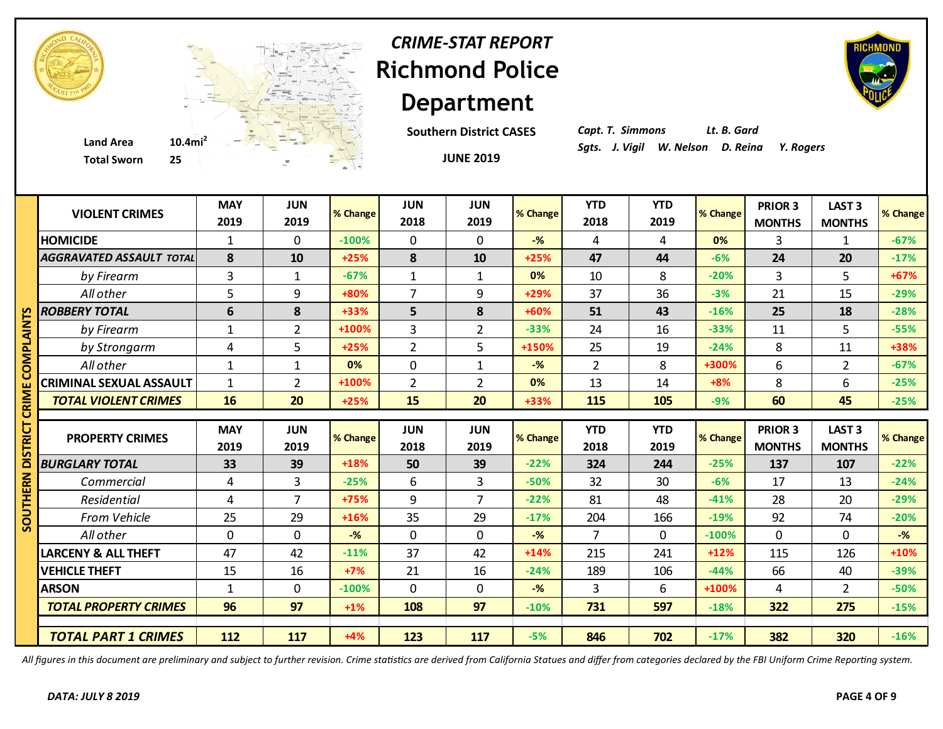

## **Richmond Police Department** *CRIME-STAT REPORT*

**Southern District CASES**



*Capt. T. Simmons Lt. B. Gard*

|             | <b>Total Sworn</b><br>25        |                    | $\mathcal{C}$      |          |                    | <b>JUNE 2019</b>   |                |                    |                    |          |                          |                                |          |
|-------------|---------------------------------|--------------------|--------------------|----------|--------------------|--------------------|----------------|--------------------|--------------------|----------|--------------------------|--------------------------------|----------|
|             | <b>VIOLENT CRIMES</b>           | <b>MAY</b><br>2019 | <b>JUN</b><br>2019 | % Change | <b>JUN</b><br>2018 | <b>JUN</b><br>2019 | % Change       | <b>YTD</b><br>2018 | <b>YTD</b><br>2019 | % Change | PRIOR 3<br><b>MONTHS</b> | <b>LAST 3</b><br><b>MONTHS</b> | % Change |
|             | <b>HOMICIDE</b>                 | $\mathbf{1}$       | $\Omega$           | $-100%$  | 0                  | $\mathbf{0}$       | $-\frac{9}{6}$ | 4                  | 4                  | 0%       | 3                        | 1                              | $-67%$   |
|             | <b>AGGRAVATED ASSAULT TOTAL</b> | 8                  | 10                 | $+25%$   | 8                  | 10                 | $+25%$         | 47                 | 44                 | $-6%$    | 24                       | 20                             | $-17%$   |
|             | by Firearm                      | 3                  | $\mathbf{1}$       | $-67%$   | $\mathbf{1}$       | $\mathbf{1}$       | 0%             | 10                 | 8                  | $-20%$   | 3                        | 5                              | +67%     |
|             | All other                       | 5                  | 9                  | +80%     | $\overline{7}$     | 9                  | +29%           | 37                 | 36                 | $-3%$    | 21                       | 15                             | $-29%$   |
| m           | <b>ROBBERY TOTAL</b>            | 6                  | 8                  | +33%     | 5                  | 8                  | +60%           | 51                 | 43                 | $-16%$   | 25                       | 18                             | $-28%$   |
| ≧<br>द      | by Firearm                      | $\mathbf{1}$       | $\overline{2}$     | +100%    | 3                  | $\overline{2}$     | $-33%$         | 24                 | 16                 | $-33%$   | 11                       | 5                              | $-55%$   |
|             | by Strongarm                    | 4                  | 5                  | $+25%$   | $\overline{2}$     | 5                  | +150%          | 25                 | 19                 | $-24%$   | 8                        | 11                             | +38%     |
| Ō           | All other                       | $\mathbf{1}$       | $\mathbf{1}$       | 0%       | 0                  | $\mathbf{1}$       | $-$ %          | $\overline{2}$     | 8                  | +300%    | 6                        | $\overline{2}$                 | $-67%$   |
|             | <b>CRIMINAL SEXUAL ASSAULT</b>  | $\mathbf{1}$       | $\overline{2}$     | +100%    | $\overline{2}$     | $\overline{2}$     | 0%             | 13                 | 14                 | $+8%$    | 8                        | 6                              | $-25%$   |
| <b>CRIM</b> | <b>TOTAL VIOLENT CRIMES</b>     | 16                 | 20                 | $+25%$   | 15                 | 20                 | +33%           | 115                | 105                | $-9%$    | 60                       | 45                             | $-25%$   |
|             |                                 |                    |                    |          |                    |                    |                |                    |                    |          |                          |                                |          |
|             |                                 |                    |                    |          |                    |                    |                |                    |                    |          |                          |                                |          |
| ᄒ           | <b>PROPERTY CRIMES</b>          | <b>MAY</b>         | <b>JUN</b>         | % Change | <b>JUN</b>         | <b>JUN</b>         | % Change       | <b>YTD</b>         | <b>YTD</b>         | % Change | PRIOR 3                  | LAST <sub>3</sub>              | % Change |
|             | <b>BURGLARY TOTAL</b>           | 2019<br>33         | 2019<br>39         | +18%     | 2018<br>50         | 2019<br>39         | $-22%$         | 2018<br>324        | 2019<br>244        | $-25%$   | <b>MONTHS</b><br>137     | <b>MONTHS</b><br>107           | $-22%$   |
|             | Commercial                      | 4                  | 3                  | $-25%$   | 6                  | 3                  | $-50%$         | 32                 | 30                 | $-6%$    | 17                       | 13                             | $-24%$   |
| ERN         | Residential                     | 4                  | $\overline{7}$     | +75%     | 9                  | 7                  | $-22%$         | 81                 | 48                 | $-41%$   | 28                       | 20                             | $-29%$   |
| 론           | From Vehicle                    | 25                 | 29                 | $+16%$   | 35                 | 29                 | $-17%$         | 204                | 166                | $-19%$   | 92                       | 74                             | $-20%$   |
| 5<br>S      | All other                       | $\overline{0}$     | $\mathbf 0$        | $-$ %    | $\mathbf 0$        | $\mathbf 0$        | $-$ %          | $\overline{7}$     | $\overline{0}$     | $-100%$  | $\mathbf 0$              | $\mathbf 0$                    | $-%$     |
|             | <b>LARCENY &amp; ALL THEFT</b>  | 47                 | 42                 | $-11%$   | 37                 | 42                 | $+14%$         | 215                | 241                | $+12%$   | 115                      | 126                            | $+10%$   |
|             | <b>VEHICLE THEFT</b>            | 15                 | 16                 | $+7%$    | 21                 | 16                 | $-24%$         | 189                | 106                | $-44%$   | 66                       | 40                             | $-39%$   |
|             | <b>ARSON</b>                    | $\mathbf{1}$       | $\mathbf 0$        | $-100%$  | $\mathbf 0$        | $\mathbf{0}$       | $-$ %          | 3                  | 6                  | +100%    | 4                        | $\overline{2}$                 | $-50%$   |
|             | <b>TOTAL PROPERTY CRIMES</b>    | 96                 | 97                 | $+1\%$   | 108                | 97                 | $-10%$         | 731                | 597                | $-18%$   | 322                      | 275                            | $-15%$   |
|             | <b>TOTAL PART 1 CRIMES</b>      | 112                | 117                | $+4%$    | 123                | 117                | $-5%$          | 846                | 702                | $-17%$   | 382                      | 320                            | $-16%$   |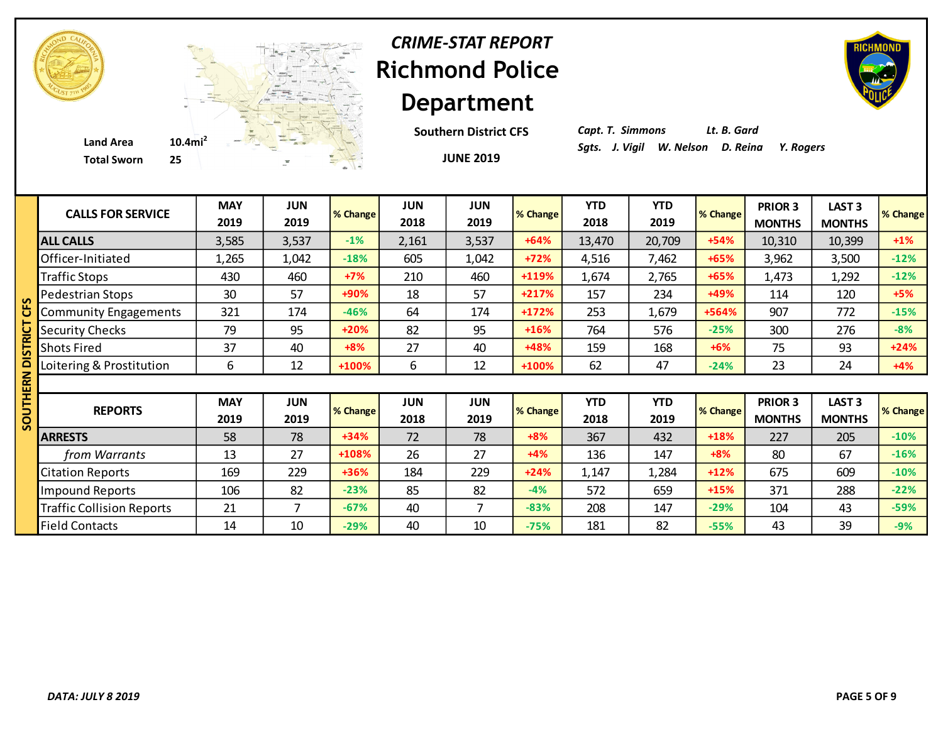

## **Richmond Police Department** *CRIME-STAT REPORT*

**Southern District CFS**

*Capt. T. Simmons Lt. B. Gard*

| <b>CALLS FOR SERVICE</b>         | <b>MAY</b><br>2019 | JUN<br>2019        | % Change | <b>JUN</b><br>2018 | <b>JUN</b><br>2019 | % Change | <b>YTD</b><br>2018 | <b>YTD</b><br>2019 | % Change | <b>PRIOR 3</b><br><b>MONTHS</b> | LAST <sub>3</sub><br><b>MONTHS</b> | % Change |
|----------------------------------|--------------------|--------------------|----------|--------------------|--------------------|----------|--------------------|--------------------|----------|---------------------------------|------------------------------------|----------|
| <b>ALL CALLS</b>                 | 3,585              | 3,537              | $-1%$    | 2,161              | 3,537              | $+64%$   | 13,470             | 20,709             | $+54%$   | 10,310                          | 10,399                             | $+1\%$   |
| Officer-Initiated                | 1,265              | 1,042              | $-18%$   | 605                | 1,042              | $+72%$   | 4,516              | 7,462              | +65%     | 3,962                           | 3,500                              | $-12%$   |
| <b>Traffic Stops</b>             | 430                | 460                | $+7%$    | 210                | 460                | +119%    | 1,674              | 2,765              | +65%     | 1,473                           | 1,292                              | $-12%$   |
| Pedestrian Stops                 | 30                 | 57                 | +90%     | 18                 | 57                 | +217%    | 157                | 234                | +49%     | 114                             | 120                                | $+5%$    |
| <b>Community Engagements</b>     | 321                | 174                | $-46%$   | 64                 | 174                | +172%    | 253                | 1,679              | +564%    | 907                             | 772                                | $-15%$   |
| <b>Security Checks</b>           | 79                 | 95                 | $+20%$   | 82                 | 95                 | $+16%$   | 764                | 576                | $-25%$   | 300                             | 276                                | $-8%$    |
| <b>Shots Fired</b>               | 37                 | 40                 | $+8%$    | 27                 | 40                 | +48%     | 159                | 168                | $+6%$    | 75                              | 93                                 | $+24%$   |
| Loitering & Prostitution         | 6                  | 12                 | +100%    | 6                  | 12                 | +100%    | 62                 | 47                 | $-24%$   | 23                              | 24                                 | $+4%$    |
|                                  |                    |                    |          |                    |                    |          |                    |                    |          |                                 |                                    |          |
| <b>REPORTS</b>                   | <b>MAY</b><br>2019 | <b>JUN</b><br>2019 | % Change | <b>JUN</b><br>2018 | <b>JUN</b><br>2019 | % Change | <b>YTD</b><br>2018 | <b>YTD</b><br>2019 | % Change | PRIOR 3<br><b>MONTHS</b>        | <b>LAST 3</b><br><b>MONTHS</b>     | % Change |
| <b>ARRESTS</b>                   | 58                 | 78                 | $+34%$   | 72                 | 78                 | $+8%$    | 367                | 432                | +18%     | 227                             | 205                                | $-10%$   |
| from Warrants                    | 13                 | 27                 | +108%    | 26                 | 27                 | $+4%$    | 136                | 147                | $+8%$    | 80                              | 67                                 | $-16%$   |
| <b>Citation Reports</b>          | 169                | 229                | +36%     | 184                | 229                | $+24%$   | 1,147              | 1,284              | $+12%$   | 675                             | 609                                | $-10%$   |
| <b>Impound Reports</b>           | 106                | 82                 | $-23%$   | 85                 | 82                 | $-4%$    | 572                | 659                | $+15%$   | 371                             | 288                                | $-22%$   |
| <b>Traffic Collision Reports</b> | 21                 | 7                  | $-67%$   | 40                 | 7                  | $-83%$   | 208                | 147                | $-29%$   | 104                             | 43                                 | $-59%$   |
| <b>Field Contacts</b>            | 14                 | 10                 | $-29%$   | 40                 | 10                 | $-75%$   | 181                | 82                 | $-55%$   | 43                              | 39                                 | $-9%$    |



**JUNE 2019**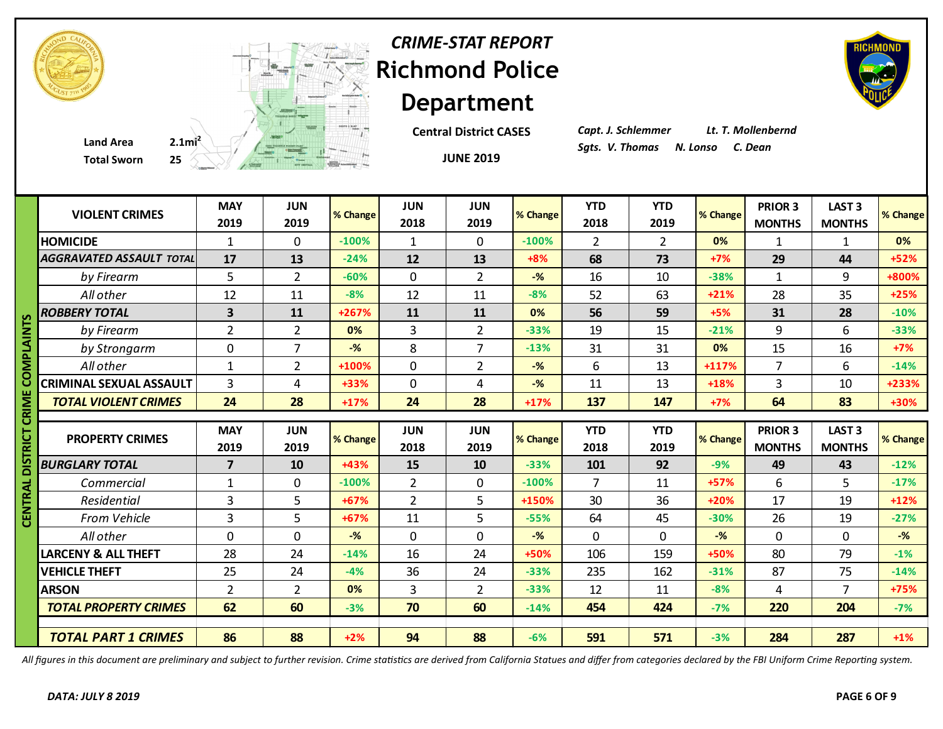| <b>CRIME-STAT REPORT</b>      |
|-------------------------------|
| <b>Richmond Police</b>        |
| <b>Department</b>             |
| <b>Central District CASES</b> |

#### **Total Sworn**



# ment

**Central District CASES**

**JUNE 2019**

*Capt. J. Schlemmer Lt. T. Mollenbernd*

|               | <b>Total Sworn</b>              |                         | 25 A A A A REAL PROPERTY |          |                    | <b>JUNE 2019</b>   |                |                    |                    |                |                                 |                                    |                    |
|---------------|---------------------------------|-------------------------|--------------------------|----------|--------------------|--------------------|----------------|--------------------|--------------------|----------------|---------------------------------|------------------------------------|--------------------|
|               | <b>VIOLENT CRIMES</b>           | <b>MAY</b><br>2019      | <b>JUN</b><br>2019       | % Change | <b>JUN</b><br>2018 | <b>JUN</b><br>2019 | % Change       | <b>YTD</b><br>2018 | <b>YTD</b><br>2019 | % Change       | <b>PRIOR 3</b><br><b>MONTHS</b> | <b>LAST 3</b><br><b>MONTHS</b>     | % Change           |
|               | <b>HOMICIDE</b>                 | $\mathbf{1}$            | 0                        | $-100%$  | $\mathbf{1}$       | $\mathbf{0}$       | $-100%$        | 2                  | $2^{\circ}$        | 0%             | 1                               | $\mathbf{1}$                       | 0%                 |
|               | <b>AGGRAVATED ASSAULT TOTAL</b> | 17                      | 13                       | $-24%$   | 12                 | 13                 | $+8%$          | 68                 | 73                 | $+7%$          | 29                              | 44                                 | $+52%$             |
|               | by Firearm                      | 5                       | $\overline{2}$           | $-60%$   | $\mathbf 0$        | $\overline{2}$     | $-$ %          | 16                 | 10                 | $-38%$         | $\mathbf{1}$                    | 9                                  | +800%              |
|               | All other                       | 12                      | 11                       | $-8%$    | 12                 | 11                 | $-8%$          | 52                 | 63                 | $+21%$         | 28                              | 35                                 | $+25%$             |
|               | <b>ROBBERY TOTAL</b>            | 3                       | 11                       | +267%    | 11                 | 11                 | 0%             | 56                 | 59                 | $+5%$          | 31                              | 28                                 | $-10%$             |
|               | by Firearm                      | $\overline{2}$          | $\overline{2}$           | 0%       | 3                  | $\overline{2}$     | $-33%$         | 19                 | 15                 | $-21%$         | 9                               | 6                                  | $-33%$             |
| <b>PLAINT</b> | by Strongarm                    | $\pmb{0}$               | $\overline{7}$           | $-$ %    | 8                  | $\overline{7}$     | $-13%$         | 31                 | 31                 | 0%             | 15                              | 16                                 | $+7%$              |
| ≅             | All other                       | $\mathbf{1}$            | $\overline{2}$           | +100%    | $\mathbf 0$        | $\overline{2}$     | $-$ %          | 6                  | 13                 | $+117%$        | $\overline{7}$                  | 6                                  | $-14%$             |
|               | <b>CRIMINAL SEXUAL ASSAULT</b>  | $\overline{3}$          | 4                        | +33%     | $\mathbf 0$        | 4                  | $-$ %          | 11                 | 13                 | +18%           | $\overline{3}$                  | 10                                 | +233%              |
| ≅             | <b>TOTAL VIOLENT CRIMES</b>     | 24                      | 28                       | $+17%$   | 24                 | 28                 | $+17%$         | 137                | 147                | $+7%$          | 64                              | 83                                 | +30%               |
|               |                                 |                         |                          |          |                    |                    |                |                    |                    |                |                                 |                                    |                    |
| ឨ             |                                 |                         |                          |          |                    |                    |                |                    |                    |                |                                 |                                    |                    |
| 5             | <b>PROPERTY CRIMES</b>          | <b>MAY</b><br>2019      | <b>JUN</b><br>2019       | % Change | <b>JUN</b><br>2018 | <b>JUN</b><br>2019 | % Change       | <b>YTD</b><br>2018 | <b>YTD</b><br>2019 | % Change       | PRIOR 3<br><b>MONTHS</b>        | LAST <sub>3</sub><br><b>MONTHS</b> |                    |
|               | <b>BURGLARY TOTAL</b>           | $\overline{\mathbf{z}}$ | 10                       | +43%     | 15                 | 10                 | $-33%$         | 101                | 92                 | $-9%$          | 49                              | 43                                 | % Change<br>$-12%$ |
|               | Commercial                      | $\mathbf{1}$            | $\mathbf 0$              | $-100%$  | $\overline{2}$     | $\mathbf 0$        | $-100%$        | $\overline{7}$     | 11                 | $+57%$         | 6                               | 5                                  | $-17%$             |
|               | Residential                     | $\overline{3}$          | 5                        | +67%     | $\overline{2}$     | 5                  | +150%          | 30                 | 36                 | $+20%$         | 17                              | 19                                 | $+12%$             |
| Ξ             | From Vehicle                    | 3                       | 5                        | +67%     | 11                 | 5                  | $-55%$         | 64                 | 45                 | $-30%$         | 26                              | 19                                 | $-27%$             |
|               | All other                       | $\mathbf 0$             | $\mathbf 0$              | $-$ %    | $\mathbf 0$        | $\mathbf{0}$       | $-\frac{9}{6}$ | $\mathbf 0$        | 0                  | $-\frac{9}{6}$ | $\mathbf{0}$                    | $\mathbf 0$                        | $-%$               |
|               | <b>LARCENY &amp; ALL THEFT</b>  | 28                      | 24                       | $-14%$   | 16                 | 24                 | +50%           | 106                | 159                | +50%           | 80                              | 79                                 | $-1%$              |
|               | <b>VEHICLE THEFT</b>            | 25                      | 24                       | $-4%$    | 36                 | 24                 | $-33%$         | 235                | 162                | $-31%$         | 87                              | 75                                 | $-14%$             |
|               | <b>ARSON</b>                    | $\overline{2}$          | $\overline{2}$           | 0%       | $\overline{3}$     | $\overline{2}$     | $-33%$         | 12                 | 11                 | $-8%$          | 4                               | $\overline{7}$                     | $+75%$             |
|               | <b>TOTAL PROPERTY CRIMES</b>    | 62                      | 60                       | $-3%$    | 70                 | 60                 | $-14%$         | 454                | 424                | $-7%$          | 220                             | 204                                | $-7%$              |

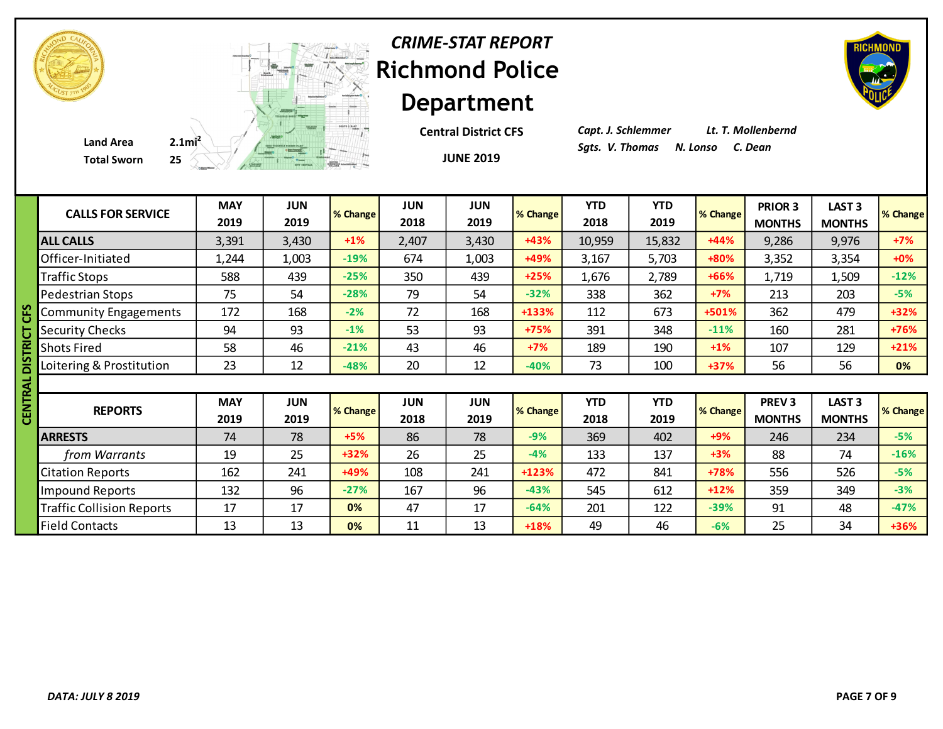| <b>CRIME-STAT REPORT</b> |
|--------------------------|
| <b>Richmond Police</b>   |
| <b>Department</b>        |

**JUNE 2019 Central District CFS** *Capt. J. Schlemmer Lt. T. Mollenbernd*

|   | <b>CALLS FOR SERVICE</b>         | <b>MAY</b> | <b>JUN</b> | % Change | <b>JUN</b> | <b>JUN</b> | % Change | <b>YTD</b> | <b>YTD</b> | % Change | PRIOR 3       | LAST <sub>3</sub> | % Change |
|---|----------------------------------|------------|------------|----------|------------|------------|----------|------------|------------|----------|---------------|-------------------|----------|
|   |                                  | 2019       | 2019       |          | 2018       | 2019       |          | 2018       | 2019       |          | <b>MONTHS</b> | <b>MONTHS</b>     |          |
|   | <b>ALL CALLS</b>                 | 3,391      | 3,430      | $+1\%$   | 2,407      | 3,430      | $+43%$   | 10,959     | 15,832     | $+44%$   | 9,286         | 9,976             | $+7%$    |
|   | Officer-Initiated                | 1,244      | 1,003      | $-19%$   | 674        | 1,003      | +49%     | 3,167      | 5,703      | +80%     | 3,352         | 3,354             | $+0%$    |
|   | <b>Traffic Stops</b>             | 588        | 439        | $-25%$   | 350        | 439        | $+25%$   | 1,676      | 2,789      | +66%     | 1,719         | 1,509             | $-12%$   |
|   | <b>Pedestrian Stops</b>          | 75         | 54         | $-28%$   | 79         | 54         | $-32%$   | 338        | 362        | $+7%$    | 213           | 203               | $-5%$    |
|   | <b>Community Engagements</b>     | 172        | 168        | $-2%$    | 72         | 168        | +133%    | 112        | 673        | +501%    | 362           | 479               | $+32%$   |
|   | <b>Security Checks</b>           | 94         | 93         | $-1%$    | 53         | 93         | $+75%$   | 391        | 348        | $-11%$   | 160           | 281               | +76%     |
|   | <b>Shots Fired</b>               | 58         | 46         | $-21%$   | 43         | 46         | $+7%$    | 189        | 190        | $+1\%$   | 107           | 129               | $+21%$   |
|   | Loitering & Prostitution         | 23         | 12         | $-48%$   | 20         | 12         | $-40%$   | 73         | 100        | +37%     | 56            | 56                | 0%       |
| ℥ |                                  |            |            |          |            |            |          |            |            |          |               |                   |          |
|   |                                  | <b>MAY</b> | <b>JUN</b> |          | <b>JUN</b> | <b>JUN</b> |          | <b>YTD</b> | <b>YTD</b> |          | <b>PREV3</b>  | LAST <sub>3</sub> |          |
|   | <b>REPORTS</b>                   | 2019       | 2019       | % Change | 2018       | 2019       | % Change | 2018       | 2019       | % Change | <b>MONTHS</b> | <b>MONTHS</b>     | % Change |
|   | <b>ARRESTS</b>                   | 74         | 78         | $+5%$    | 86         | 78         | $-9%$    | 369        | 402        | $+9%$    | 246           | 234               | $-5%$    |
|   | from Warrants                    | 19         | 25         | $+32%$   | 26         | 25         | $-4%$    | 133        | 137        | $+3%$    | 88            | 74                | $-16%$   |
|   | <b>Citation Reports</b>          | 162        | 241        | +49%     | 108        | 241        | $+123%$  | 472        | 841        | +78%     | 556           | 526               | $-5%$    |
|   | <b>Impound Reports</b>           | 132        | 96         | $-27%$   | 167        | 96         | $-43%$   | 545        | 612        | $+12%$   | 359           | 349               | $-3%$    |
|   | <b>Traffic Collision Reports</b> | 17         | 17         | 0%       | 47         | 17         | $-64%$   | 201        | 122        | $-39%$   | 91            | 48                | $-47%$   |
|   | <b>Field Contacts</b>            | 13         | 13         | 0%       | 11         | 13         | $+18%$   | 49         | 46         | $-6%$    | 25            | 34                | $+36%$   |
|   |                                  |            |            |          |            |            |          |            |            |          |               |                   |          |
|   |                                  |            |            |          |            |            |          |            |            |          |               |                   |          |



**Total Sworn** 

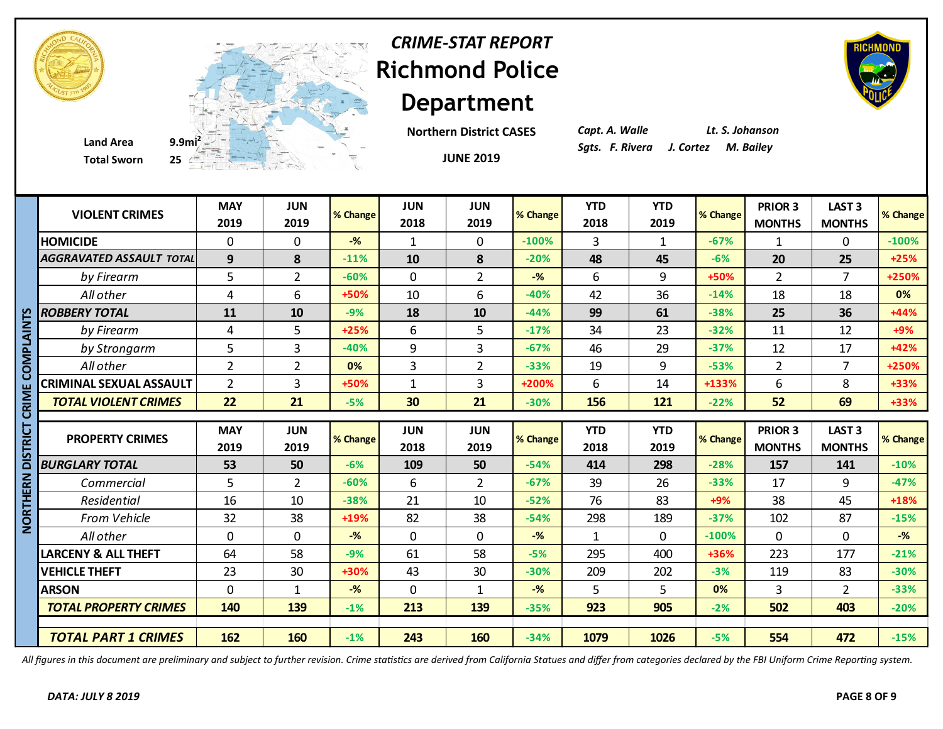



**Total Sworn 25**

**Department Northern District CASES**

*CRIME-STAT REPORT*

**JUNE 2019**

*Capt. A. Walle Lt. S. Johanson*

|                | <b>VIOLENT CRIMES</b>           | <b>MAY</b><br>2019 | <b>JUN</b><br>2019 | % Change | <b>JUN</b><br>2018 | <b>JUN</b><br>2019 | % Change       | <b>YTD</b><br>2018 | <b>YTD</b><br>2019 | % Change | <b>PRIOR 3</b><br><b>MONTHS</b> | <b>LAST 3</b><br><b>MONTHS</b> | % Change |
|----------------|---------------------------------|--------------------|--------------------|----------|--------------------|--------------------|----------------|--------------------|--------------------|----------|---------------------------------|--------------------------------|----------|
|                | <b>HOMICIDE</b>                 | 0                  | $\Omega$           | $-$ %    | 1                  | $\mathbf{0}$       | $-100%$        | 3                  | $\mathbf{1}$       | $-67%$   | 1                               | 0                              | $-100%$  |
|                | <b>AGGRAVATED ASSAULT TOTAL</b> | 9                  | 8                  | $-11%$   | 10                 | 8                  | $-20%$         | 48                 | 45                 | $-6%$    | 20                              | 25                             | $+25%$   |
|                | by Firearm                      | 5                  | $\overline{2}$     | $-60%$   | $\mathbf 0$        | $\overline{2}$     | $-\frac{9}{6}$ | 6                  | 9                  | +50%     | $\overline{2}$                  | $\overline{7}$                 | +250%    |
|                | All other                       | 4                  | 6                  | +50%     | 10                 | 6                  | $-40%$         | 42                 | 36                 | $-14%$   | 18                              | 18                             | 0%       |
|                | <b>ROBBERY TOTAL</b>            | 11                 | 10                 | $-9%$    | 18                 | 10                 | $-44%$         | 99                 | 61                 | $-38%$   | 25                              | 36                             | +44%     |
|                | by Firearm                      | 4                  | 5                  | $+25%$   | 6                  | 5                  | $-17%$         | 34                 | 23                 | $-32%$   | 11                              | 12                             | $+9%$    |
| <b>DIALAIN</b> | by Strongarm                    | 5                  | $\overline{3}$     | $-40%$   | 9                  | $\overline{3}$     | $-67%$         | 46                 | 29                 | $-37%$   | 12                              | 17                             | +42%     |
|                | All other                       | $\overline{2}$     | $\overline{2}$     | 0%       | $\overline{3}$     | $\overline{2}$     | $-33%$         | 19                 | 9                  | $-53%$   | $\overline{2}$                  | $\overline{7}$                 | +250%    |
|                | <b>CRIMINAL SEXUAL ASSAULT</b>  | $\overline{2}$     | $\overline{3}$     | +50%     | $\mathbf{1}$       | 3                  | $+200%$        | 6                  | 14                 | +133%    | 6                               | 8                              | +33%     |
|                | <b>TOTAL VIOLENT CRIMES</b>     | 22                 | 21                 | $-5%$    | 30                 | 21                 | $-30%$         | 156                | 121                | $-22%$   | 52                              | 69                             | +33%     |
| ت              |                                 |                    |                    |          |                    |                    |                |                    |                    |          |                                 |                                |          |
| <u> 기기</u>     | <b>PROPERTY CRIMES</b>          | <b>MAY</b>         | <b>JUN</b>         | % Change | <b>JUN</b>         | <b>JUN</b>         | % Change       | <b>YTD</b>         | <b>YTD</b>         | % Change | <b>PRIOR 3</b>                  | <b>LAST 3</b>                  | % Change |
|                |                                 | 2019               | 2019               |          | 2018               | 2019               |                | 2018               | 2019               |          | <b>MONTHS</b>                   | <b>MONTHS</b>                  |          |
|                | <b>BURGLARY TOTAL</b>           | 53                 | 50                 | $-6%$    | 109                | 50                 | $-54%$         | 414                | 298                | $-28%$   | 157                             | 141                            | $-10%$   |
| ERN            | Commercial                      | 5                  | $\overline{2}$     | $-60%$   | 6                  | $\overline{2}$     | $-67%$         | 39                 | 26                 | $-33%$   | 17                              | 9                              | $-47%$   |
| Ξ              | Residential                     | 16                 | 10                 | $-38%$   | 21                 | 10                 | $-52%$         | 76                 | 83                 | $+9%$    | 38                              | 45                             | +18%     |
| <b>BRT</b>     | From Vehicle                    | 32                 | 38                 | +19%     | 82                 | 38                 | $-54%$         | 298                | 189                | $-37%$   | 102                             | 87                             | $-15%$   |
| Ž              | All other                       | $\mathbf{0}$       | $\mathbf 0$        | $-$ %    | $\mathbf 0$        | 0                  | $-$ %          | 1                  | 0                  | $-100%$  | $\mathbf{0}$                    | $\mathbf 0$                    | $-%$     |
|                | <b>LARCENY &amp; ALL THEFT</b>  | 64                 | 58                 | $-9%$    | 61                 | 58                 | $-5%$          | 295                | 400                | +36%     | 223                             | 177                            | $-21%$   |
|                |                                 |                    |                    |          |                    |                    |                |                    |                    |          |                                 |                                |          |
|                | <b>VEHICLE THEFT</b>            | 23                 | 30                 | +30%     | 43                 | 30                 | $-30%$         | 209                | 202                | $-3%$    | 119                             | 83                             | $-30%$   |
|                | <b>ARSON</b>                    | 0                  | $\mathbf{1}$       | $-$ %    | $\mathbf 0$        | 1                  | $-$ %          | 5                  | 5                  | 0%       | 3                               | $\overline{2}$                 | $-33%$   |
|                | <b>TOTAL PROPERTY CRIMES</b>    | 140                | 139                | $-1%$    | 213                | 139                | $-35%$         | 923                | 905                | $-2%$    | 502                             | 403                            | $-20%$   |
|                |                                 |                    |                    |          |                    |                    |                |                    |                    |          |                                 |                                |          |